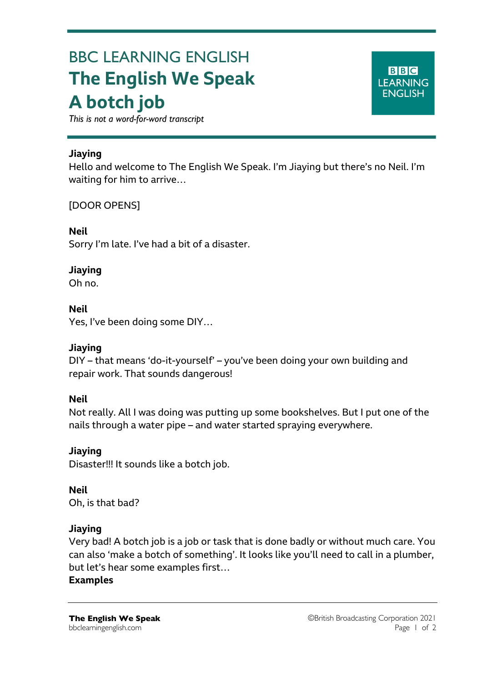# BBC LEARNING ENGLISH **The English We Speak A botch job**

**BBC LEARNING ENGLISH** 

*This is not a word-for-word transcript*

#### **Jiaying**

Hello and welcome to The English We Speak. I'm Jiaying but there's no Neil. I'm waiting for him to arrive…

# [DOOR OPENS]

**Neil** Sorry I'm late. I've had a bit of a disaster.

#### **Jiaying**

Oh no.

#### **Neil**

Yes, I've been doing some DIY…

# **Jiaying**

DIY – that means 'do-it-yourself' – you've been doing your own building and repair work. That sounds dangerous!

#### **Neil**

Not really. All I was doing was putting up some bookshelves. But I put one of the nails through a water pipe – and water started spraying everywhere.

# **Jiaying**

Disaster!!! It sounds like a botch job.

**Neil** Oh, is that bad?

#### **Jiaying**

Very bad! A botch job is a job or task that is done badly or without much care. You can also 'make a botch of something'. It looks like you'll need to call in a plumber, but let's hear some examples first…

#### **Examples**